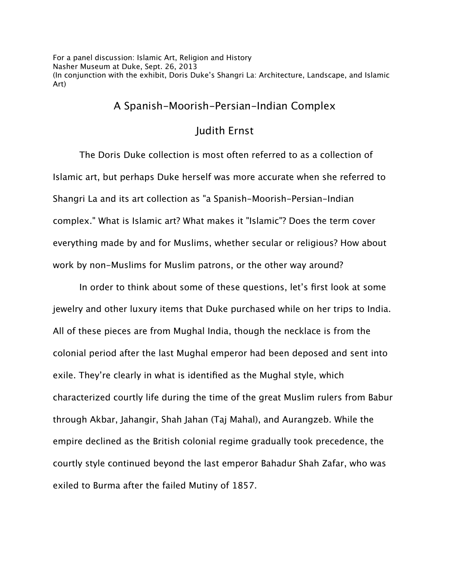For a panel discussion: Islamic Art, Religion and History Nasher Museum at Duke, Sept. 26, 2013 (In conjunction with the exhibit, Doris Duke's Shangri La: Architecture, Landscape, and Islamic Art)

## A Spanish-Moorish-Persian-Indian Complex

## Judith Ernst

The Doris Duke collection is most often referred to as a collection of Islamic art, but perhaps Duke herself was more accurate when she referred to Shangri La and its art collection as "a Spanish-Moorish-Persian-Indian complex." What is Islamic art? What makes it "Islamic"? Does the term cover everything made by and for Muslims, whether secular or religious? How about work by non-Muslims for Muslim patrons, or the other way around?

In order to think about some of these questions, let's first look at some jewelry and other luxury items that Duke purchased while on her trips to India. All of these pieces are from Mughal India, though the necklace is from the colonial period after the last Mughal emperor had been deposed and sent into exile. They're clearly in what is identified as the Mughal style, which characterized courtly life during the time of the great Muslim rulers from Babur through Akbar, Jahangir, Shah Jahan (Taj Mahal), and Aurangzeb. While the empire declined as the British colonial regime gradually took precedence, the courtly style continued beyond the last emperor Bahadur Shah Zafar, who was exiled to Burma after the failed Mutiny of 1857.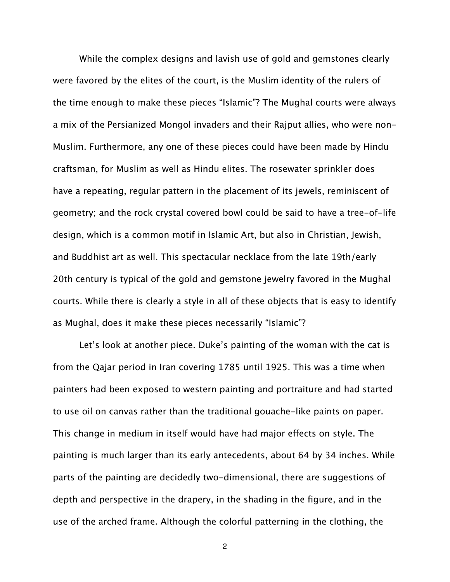While the complex designs and lavish use of gold and gemstones clearly were favored by the elites of the court, is the Muslim identity of the rulers of the time enough to make these pieces "Islamic"? The Mughal courts were always a mix of the Persianized Mongol invaders and their Rajput allies, who were non-Muslim. Furthermore, any one of these pieces could have been made by Hindu craftsman, for Muslim as well as Hindu elites. The rosewater sprinkler does have a repeating, regular pattern in the placement of its jewels, reminiscent of geometry; and the rock crystal covered bowl could be said to have a tree-of-life design, which is a common motif in Islamic Art, but also in Christian, Jewish, and Buddhist art as well. This spectacular necklace from the late 19th/early 20th century is typical of the gold and gemstone jewelry favored in the Mughal courts. While there is clearly a style in all of these objects that is easy to identify as Mughal, does it make these pieces necessarily "Islamic"?

Let's look at another piece. Duke's painting of the woman with the cat is from the Qajar period in Iran covering 1785 until 1925. This was a time when painters had been exposed to western painting and portraiture and had started to use oil on canvas rather than the traditional gouache-like paints on paper. This change in medium in itself would have had major efects on style. The painting is much larger than its early antecedents, about 64 by 34 inches. While parts of the painting are decidedly two-dimensional, there are suggestions of depth and perspective in the drapery, in the shading in the figure, and in the use of the arched frame. Although the colorful patterning in the clothing, the

2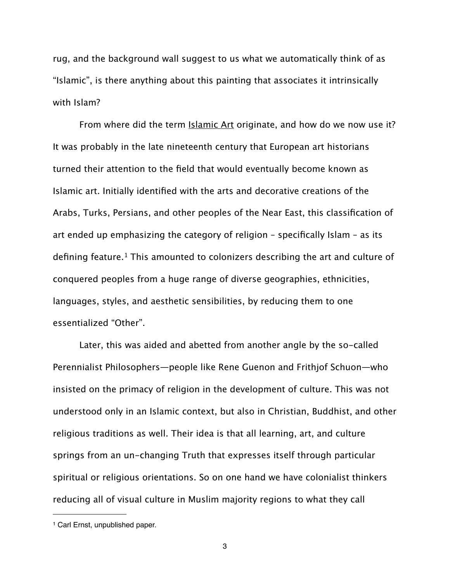rug, and the background wall suggest to us what we automatically think of as "Islamic", is there anything about this painting that associates it intrinsically with Islam?

From where did the term **Islamic Art** originate, and how do we now use it? It was probably in the late nineteenth century that European art historians turned their attention to the field that would eventually become known as Islamic art. Initially identified with the arts and decorative creations of the Arabs, Turks, Persians, and other peoples of the Near East, this classification of art ended up emphasizing the category of religion – specifically Islam – as its defining feature.<sup>1</sup> This amounted to colonizers describing the art and culture of conquered peoples from a huge range of diverse geographies, ethnicities, languages, styles, and aesthetic sensibilities, by reducing them to one essentialized "Other".

Later, this was aided and abetted from another angle by the so-called Perennialist Philosophers—people like Rene Guenon and Frithjof Schuon—who insisted on the primacy of religion in the development of culture. This was not understood only in an Islamic context, but also in Christian, Buddhist, and other religious traditions as well. Their idea is that all learning, art, and culture springs from an un-changing Truth that expresses itself through particular spiritual or religious orientations. So on one hand we have colonialist thinkers reducing all of visual culture in Muslim majority regions to what they call

<span id="page-2-0"></span><sup>1</sup> Carl Ernst, unpublished paper.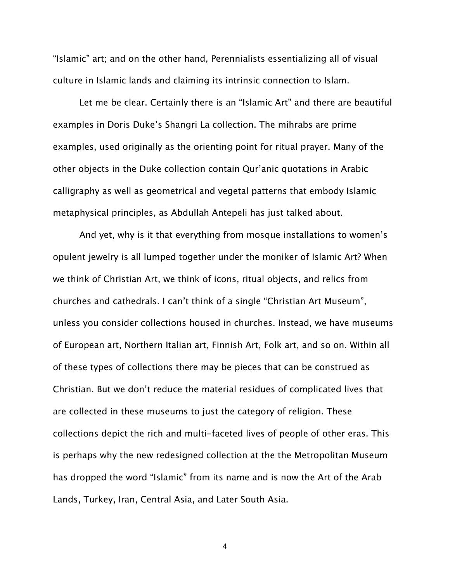"Islamic" art; and on the other hand, Perennialists essentializing all of visual culture in Islamic lands and claiming its intrinsic connection to Islam.

Let me be clear. Certainly there is an "Islamic Art" and there are beautiful examples in Doris Duke's Shangri La collection. The mihrabs are prime examples, used originally as the orienting point for ritual prayer. Many of the other objects in the Duke collection contain Qur'anic quotations in Arabic calligraphy as well as geometrical and vegetal patterns that embody Islamic metaphysical principles, as Abdullah Antepeli has just talked about.

And yet, why is it that everything from mosque installations to women's opulent jewelry is all lumped together under the moniker of Islamic Art? When we think of Christian Art, we think of icons, ritual objects, and relics from churches and cathedrals. I can't think of a single "Christian Art Museum", unless you consider collections housed in churches. Instead, we have museums of European art, Northern Italian art, Finnish Art, Folk art, and so on. Within all of these types of collections there may be pieces that can be construed as Christian. But we don't reduce the material residues of complicated lives that are collected in these museums to just the category of religion. These collections depict the rich and multi-faceted lives of people of other eras. This is perhaps why the new redesigned collection at the the Metropolitan Museum has dropped the word "Islamic" from its name and is now the Art of the Arab Lands, Turkey, Iran, Central Asia, and Later South Asia.

4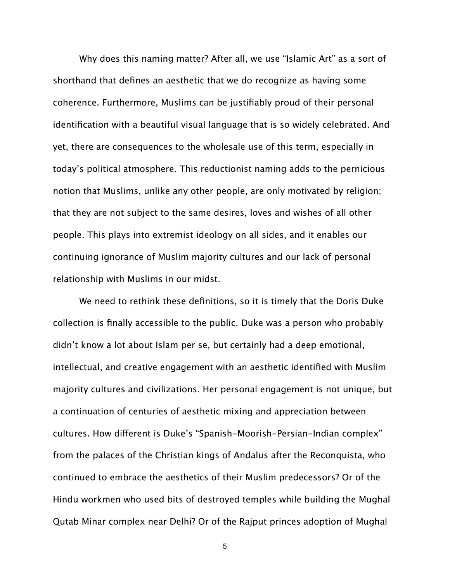Why does this naming matter? After all, we use "Islamic Art" as a sort of shorthand that defines an aesthetic that we do recognize as having some coherence. Furthermore, Muslims can be justifiably proud of their personal identification with a beautiful visual language that is so widely celebrated. And yet, there are consequences to the wholesale use of this term, especially in today's political atmosphere. This reductionist naming adds to the pernicious notion that Muslims, unlike any other people, are only motivated by religion; that they are not subject to the same desires, loves and wishes of all other people. This plays into extremist ideology on all sides, and it enables our continuing ignorance of Muslim majority cultures and our lack of personal relationship with Muslims in our midst.

We need to rethink these definitions, so it is timely that the Doris Duke collection is finally accessible to the public. Duke was a person who probably didn't know a lot about Islam per se, but certainly had a deep emotional, intellectual, and creative engagement with an aesthetic identified with Muslim majority cultures and civilizations. Her personal engagement is not unique, but a continuation of centuries of aesthetic mixing and appreciation between cultures. How diferent is Duke's "Spanish-Moorish-Persian-Indian complex" from the palaces of the Christian kings of Andalus after the Reconquista, who continued to embrace the aesthetics of their Muslim predecessors? Or of the Hindu workmen who used bits of destroyed temples while building the Mughal Qutab Minar complex near Delhi? Or of the Rajput princes adoption of Mughal

5